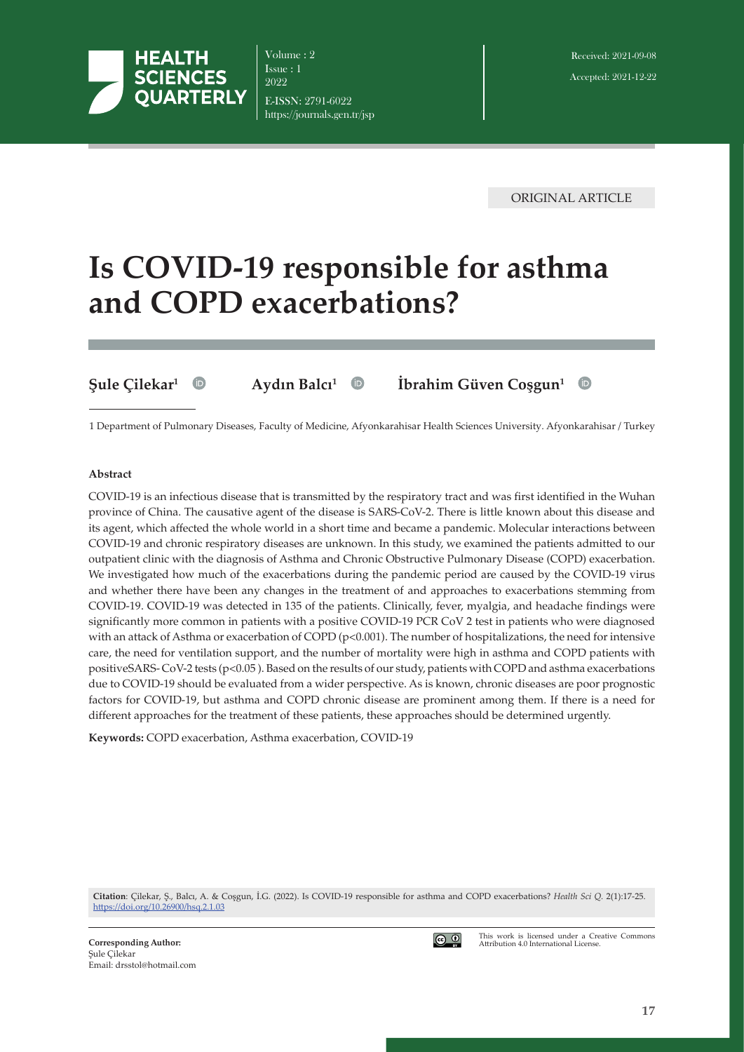

Volume : 2 Issue : 1 2022 E-ISSN: 2791-6022 https://journals.gen.tr/jsp

ORIGINAL ARTICLE

# **Is COVID-19 responsible for asthma and COPD exacerbations?**

**Şule Çilekar<sup>1</sup> Aydın Balcı<sup>1</sup> İbrahim Güven Coşgun<sup>1</sup>**

 $\bullet$ 

1 Department of Pulmonary Diseases, Faculty of Medicine, Afyonkarahisar Health Sciences University. Afyonkarahisar / Turkey

#### **Abstract**

COVID-19 is an infectious disease that is transmitted by the respiratory tract and was first identified in the Wuhan province of China. The causative agent of the disease is SARS-CoV-2. There is little known about this disease and its agent, which affected the whole world in a short time and became a pandemic. Molecular interactions between COVID-19 and chronic respiratory diseases are unknown. In this study, we examined the patients admitted to our outpatient clinic with the diagnosis of Asthma and Chronic Obstructive Pulmonary Disease (COPD) exacerbation. We investigated how much of the exacerbations during the pandemic period are caused by the COVID-19 virus and whether there have been any changes in the treatment of and approaches to exacerbations stemming from COVID-19. COVID-19 was detected in 135 of the patients. Clinically, fever, myalgia, and headache findings were significantly more common in patients with a positive COVID-19 PCR CoV 2 test in patients who were diagnosed with an attack of Asthma or exacerbation of COPD ( $p<0.001$ ). The number of hospitalizations, the need for intensive care, the need for ventilation support, and the number of mortality were high in asthma and COPD patients with positiveSARS- CoV-2 tests (p<0.05 ). Based on the results of our study, patients with COPD and asthma exacerbations due to COVID-19 should be evaluated from a wider perspective. As is known, chronic diseases are poor prognostic factors for COVID-19, but asthma and COPD chronic disease are prominent among them. If there is a need for different approaches for the treatment of these patients, these approaches should be determined urgently.

**Keywords:** COPD exacerbation, Asthma exacerbation, COVID-19

**Citation**: Çilekar, Ş., Balcı, A. & Coşgun, İ.G. (2022). Is COVID-19 responsible for asthma and COPD exacerbations? *Health Sci Q.* 2(1):17-25. <https://doi.org/>10.26900/hsq.2.1.03



This work is licensed under a Creative Commons Attribution 4.0 International License.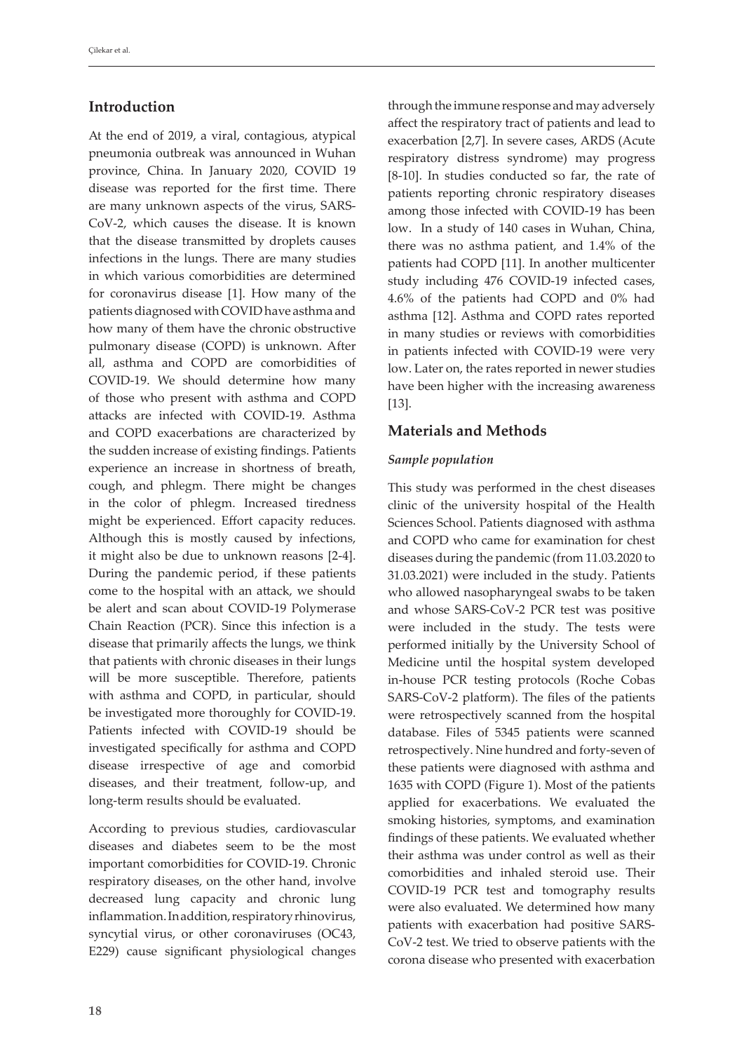# **Introduction**

At the end of 2019, a viral, contagious, atypical pneumonia outbreak was announced in Wuhan province, China. In January 2020, COVID 19 disease was reported for the first time. There are many unknown aspects of the virus, SARS-CoV-2, which causes the disease. It is known that the disease transmitted by droplets causes infections in the lungs. There are many studies in which various comorbidities are determined for coronavirus disease [1]. How many of the patients diagnosed with COVID have asthma and how many of them have the chronic obstructive pulmonary disease (COPD) is unknown. After all, asthma and COPD are comorbidities of COVID-19. We should determine how many of those who present with asthma and COPD attacks are infected with COVID-19. Asthma and COPD exacerbations are characterized by the sudden increase of existing findings. Patients experience an increase in shortness of breath, cough, and phlegm. There might be changes in the color of phlegm. Increased tiredness might be experienced. Effort capacity reduces. Although this is mostly caused by infections, it might also be due to unknown reasons [2-4]. During the pandemic period, if these patients come to the hospital with an attack, we should be alert and scan about COVID-19 Polymerase Chain Reaction (PCR). Since this infection is a disease that primarily affects the lungs, we think that patients with chronic diseases in their lungs will be more susceptible. Therefore, patients with asthma and COPD, in particular, should be investigated more thoroughly for COVID-19. Patients infected with COVID-19 should be investigated specifically for asthma and COPD disease irrespective of age and comorbid diseases, and their treatment, follow-up, and long-term results should be evaluated.

According to previous studies, cardiovascular diseases and diabetes seem to be the most important comorbidities for COVID-19. Chronic respiratory diseases, on the other hand, involve decreased lung capacity and chronic lung inflammation. In addition, respiratory rhinovirus, syncytial virus, or other coronaviruses (OC43, E229) cause significant physiological changes

through the immune response and may adversely affect the respiratory tract of patients and lead to exacerbation [2,7]. In severe cases, ARDS (Acute respiratory distress syndrome) may progress [8-10]. In studies conducted so far, the rate of patients reporting chronic respiratory diseases among those infected with COVID-19 has been low. In a study of 140 cases in Wuhan, China, there was no asthma patient, and 1.4% of the patients had COPD [11]. In another multicenter study including 476 COVID-19 infected cases, 4.6% of the patients had COPD and 0% had asthma [12]. Asthma and COPD rates reported in many studies or reviews with comorbidities in patients infected with COVID-19 were very low. Later on, the rates reported in newer studies have been higher with the increasing awareness [13].

## **Materials and Methods**

#### *Sample population*

This study was performed in the chest diseases clinic of the university hospital of the Health Sciences School. Patients diagnosed with asthma and COPD who came for examination for chest diseases during the pandemic (from 11.03.2020 to 31.03.2021) were included in the study. Patients who allowed nasopharyngeal swabs to be taken and whose SARS-CoV-2 PCR test was positive were included in the study. The tests were performed initially by the University School of Medicine until the hospital system developed in-house PCR testing protocols (Roche Cobas SARS-CoV-2 platform). The files of the patients were retrospectively scanned from the hospital database. Files of 5345 patients were scanned retrospectively. Nine hundred and forty-seven of these patients were diagnosed with asthma and 1635 with COPD (Figure 1). Most of the patients applied for exacerbations. We evaluated the smoking histories, symptoms, and examination findings of these patients. We evaluated whether their asthma was under control as well as their comorbidities and inhaled steroid use. Their COVID-19 PCR test and tomography results were also evaluated. We determined how many patients with exacerbation had positive SARS-CoV-2 test. We tried to observe patients with the corona disease who presented with exacerbation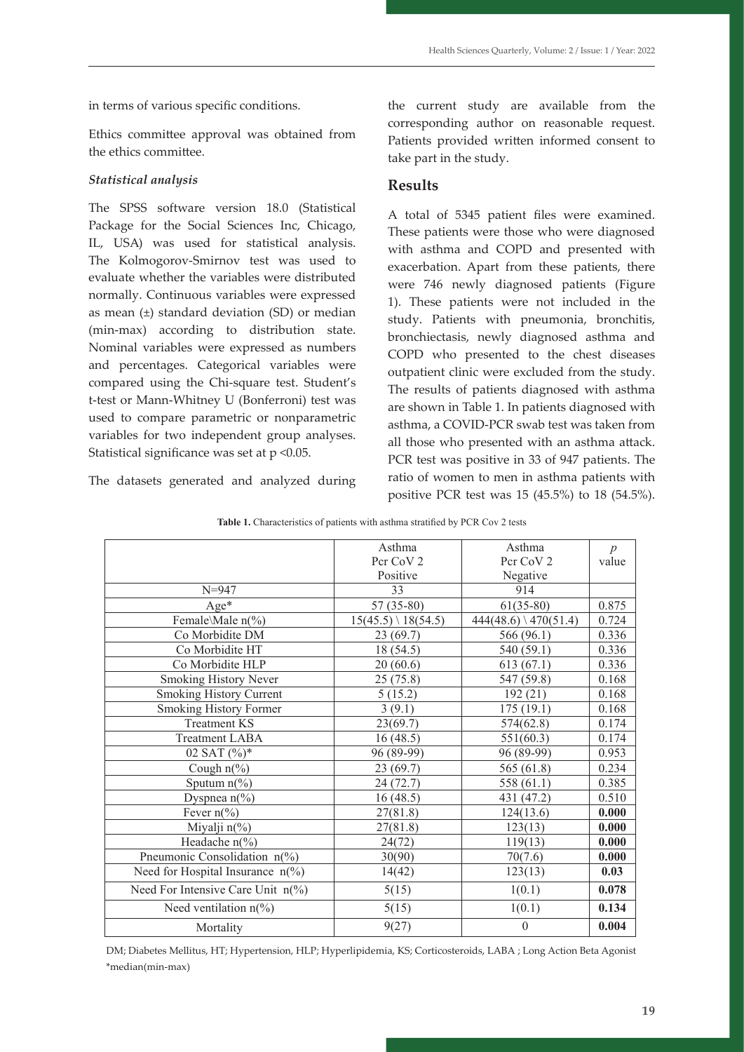in terms of various specific conditions.

Ethics committee approval was obtained from the ethics committee.

## *Statistical analysis*

The SPSS software version 18.0 (Statistical Package for the Social Sciences Inc, Chicago, IL, USA) was used for statistical analysis. The Kolmogorov-Smirnov test was used to evaluate whether the variables were distributed normally. Continuous variables were expressed as mean (±) standard deviation (SD) or median (min-max) according to distribution state. Nominal variables were expressed as numbers and percentages. Categorical variables were compared using the Chi-square test. Student's t-test or Mann-Whitney U (Bonferroni) test was used to compare parametric or nonparametric variables for two independent group analyses. Statistical significance was set at  $p < 0.05$ .

The datasets generated and analyzed during

the current study are available from the corresponding author on reasonable request. Patients provided written informed consent to take part in the study.

# **Results**

A total of 5345 patient files were examined. These patients were those who were diagnosed with asthma and COPD and presented with exacerbation. Apart from these patients, there were 746 newly diagnosed patients (Figure 1). These patients were not included in the study. Patients with pneumonia, bronchitis, bronchiectasis, newly diagnosed asthma and COPD who presented to the chest diseases outpatient clinic were excluded from the study. The results of patients diagnosed with asthma are shown in Table 1. In patients diagnosed with asthma, a COVID-PCR swab test was taken from all those who presented with an asthma attack. PCR test was positive in 33 of 947 patients. The datasets generated and analyzed during ratio of women to men in asthma patients with positive PCR test was 15 (45.5%) to 18 (54.5%).

|                                            | Asthma                        | Asthma                          | $\boldsymbol{p}$ |
|--------------------------------------------|-------------------------------|---------------------------------|------------------|
|                                            | Pcr CoV 2                     | Pcr CoV 2                       | value            |
|                                            | Positive                      | Negative                        |                  |
| $N = 947$                                  | 33                            | 914                             |                  |
| $Age*$                                     | $57(35-80)$                   | $61(35-80)$                     | 0.875            |
| Female\Male n(%)                           | $15(45.5) \setminus 18(54.5)$ | $444(48.6) \setminus 470(51.4)$ | 0.724            |
| Co Morbidite DM                            | 23(69.7)                      | 566 (96.1)                      | 0.336            |
| Co Morbidite HT                            | 18 (54.5)                     | 540 (59.1)                      | 0.336            |
| Co Morbidite HLP                           | 20(60.6)                      | 613(67.1)                       | 0.336            |
| Smoking History Never                      | 25(75.8)                      | 547 (59.8)                      | 0.168            |
| <b>Smoking History Current</b>             | 5(15.2)                       | 192(21)                         | 0.168            |
| Smoking History Former                     | 3(9.1)                        | 175(19.1)                       | 0.168            |
| <b>Treatment KS</b>                        | 23(69.7)                      | 574(62.8)                       | 0.174            |
| <b>Treatment LABA</b>                      | 16(48.5)                      | 551(60.3)                       | 0.174            |
| 02 SAT $(\%)^*$                            | 96 (89-99)                    | 96 (89-99)                      | 0.953            |
| Cough $n\frac{6}{6}$                       | 23(69.7)                      | 565 (61.8)                      | 0.234            |
| Sputum $n\frac{6}{6}$                      | 24 (72.7)                     | 558 $(61.1)$                    | 0.385            |
| Dyspnea $n$ <sup>(%)</sup>                 | 16(48.5)                      | 431 (47.2)                      | 0.510            |
| Fever $n\frac{6}{6}$                       | 27(81.8)                      | 124(13.6)                       | 0.000            |
| Miyalji $n\frac{6}{6}$                     | 27(81.8)                      | 123(13)                         | 0.000            |
| Headache $n\frac{6}{6}$                    | 24(72)                        | 119(13)                         | 0.000            |
| Pneumonic Consolidation n(%)               | 30(90)                        | 70(7.6)                         | 0.000            |
| Need for Hospital Insurance $n\frac{6}{6}$ | 14(42)                        | 123(13)                         | 0.03             |
| Need For Intensive Care Unit n(%)          | 5(15)                         | 1(0.1)                          | 0.078            |
| Need ventilation $n$ <sup>(%)</sup>        | 5(15)                         | 1(0.1)                          | 0.134            |
| Mortality                                  | 9(27)                         | $\theta$                        | 0.004            |

Table 1. Characteristics of patients with asthma stratified by PCR Cov 2 tests

 $\mathbf{m}$ edian $(\mathbf{m})$ . Ha $(\mathbf{m})$ , Ha $(\mathbf{m})$ , Ha $(\mathbf{m})$ DM; Diabetes Mellitus, HT; Hypertension, HLP; Hyperlipidemia, KS; Corticosteroids, LABA ; Long Action Beta Agonist \*median(min-max)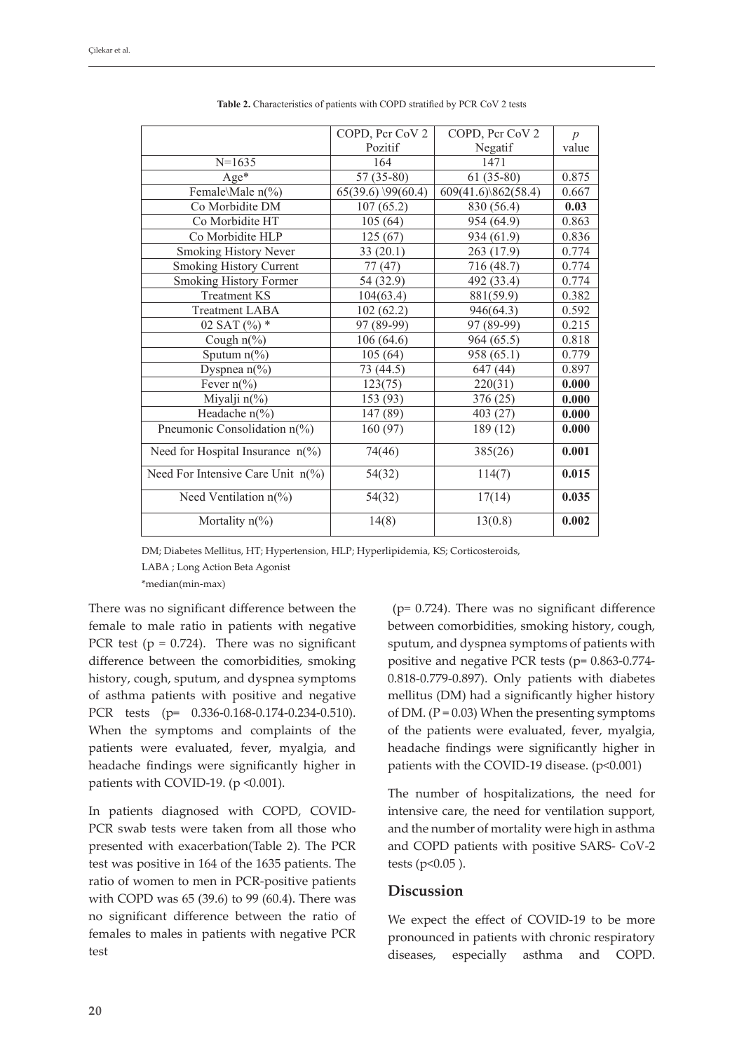|                                                | COPD, Pcr CoV 2      | COPD, Pcr CoV 2     | $\boldsymbol{p}$ |
|------------------------------------------------|----------------------|---------------------|------------------|
|                                                | Pozitif              | Negatif             | value            |
| $N=1635$                                       | 164                  | 1471                |                  |
| Age*                                           | $57(35-80)$          | $61(35-80)$         | 0.875            |
| Female\Male n(%)                               | $65(39.6)$ \99(60.4) | 609(41.6)\862(58.4) | 0.667            |
| Co Morbidite DM                                | 107(65.2)            | 830 (56.4)          | 0.03             |
| Co Morbidite HT                                | 105(64)              | 954 (64.9)          | 0.863            |
| Co Morbidite HLP                               | 125(67)              | 934 (61.9)          | 0.836            |
| Smoking History Never                          | 33(20.1)             | 263 (17.9)          | 0.774            |
| <b>Smoking History Current</b>                 | 77 (47)              | 716 (48.7)          | 0.774            |
| <b>Smoking History Former</b>                  | 54 (32.9)            | 492 (33.4)          | 0.774            |
| <b>Treatment KS</b>                            | 104(63.4)            | 881(59.9)           | 0.382            |
| <b>Treatment LABA</b>                          | 102(62.2)            | 946(64.3)           | 0.592            |
| 02 SAT $(\%)$ *                                | 97 (89-99)           | 97 (89-99)          | 0.215            |
| Cough $n\frac{6}{6}$                           | 106(64.6)            | 964 (65.5)          | 0.818            |
| Sputum $n$ (%)                                 | 105(64)              | 958 (65.1)          | 0.779            |
| Dyspnea $n\frac{6}{6}$                         | 73 (44.5)            | 647 (44)            | 0.897            |
| Fever $n\frac{6}{6}$                           | 123(75)              | 220(31)             | 0.000            |
| Miyalji n(%)                                   | 153 (93)             | 376 (25)            | 0.000            |
| Headache n(%)                                  | 147 (89)             | 403 (27)            | 0.000            |
| Pneumonic Consolidation n(%)                   | 160(97)              | 189 (12)            | 0.000            |
| Need for Hospital Insurance $n$ <sup>(%)</sup> | 74(46)               | 385(26)             | 0.001            |
| Need For Intensive Care Unit n(%)              | 54(32)               | 114(7)              | 0.015            |
| Need Ventilation $n$ <sup>(%)</sup>            | 54(32)               | 17(14)              | 0.035            |
| Mortality $n\frac{6}{6}$                       | 14(8)                | 13(0.8)             | 0.002            |

**Table 2.** Characteristics of patients with COPD stratified by PCR CoV 2 tests

DM; Diabetes Mellitus, HT; Hypertension, HLP; Hyperlipidemia, KS; Corticosteroids, DM; Diabetes Mellitus, HT; Hypertension, HLP; Hyperlipidemia, KS; Corticosteroids, LABA ; Long Action Beta Agonist

 $*$ median(min-max)

There was no significant difference between the female to male ratio in patients with negative PCR test ( $p = 0.724$ ). There was no significant difference between the comorbidities, smoking history, cough, sputum, and dyspnea symptoms of asthma patients with positive and negative PCR tests (p= 0.336-0.168-0.174-0.234-0.510). When the symptoms and complaints of the patients were evaluated, fever, myalgia, and headache findings were significantly higher in patients with COVID-19. ( $p \le 0.001$ ).

In patients diagnosed with COPD, COVID-PCR swab tests were taken from all those who presented with exacerbation(Table 2). The PCR test was positive in 164 of the 1635 patients. The ratio of women to men in PCR-positive patients with COPD was 65 (39.6) to 99 (60.4). There was no significant difference between the ratio of females to males in patients with negative PCR test

 (p= 0.724). There was no significant difference between comorbidities, smoking history, cough, sputum, and dyspnea symptoms of patients with positive and negative PCR tests (p= 0.863-0.774- 0.818-0.779-0.897). Only patients with diabetes mellitus (DM) had a significantly higher history of DM. ( $P = 0.03$ ) When the presenting symptoms of the patients were evaluated, fever, myalgia, headache findings were significantly higher in patients with the COVID-19 disease. (p<0.001)

The number of hospitalizations, the need for intensive care, the need for ventilation support, and the number of mortality were high in asthma and COPD patients with positive SARS- CoV-2 tests ( $p<0.05$ ).

## **Discussion**

We expect the effect of COVID-19 to be more pronounced in patients with chronic respiratory diseases, especially asthma and COPD.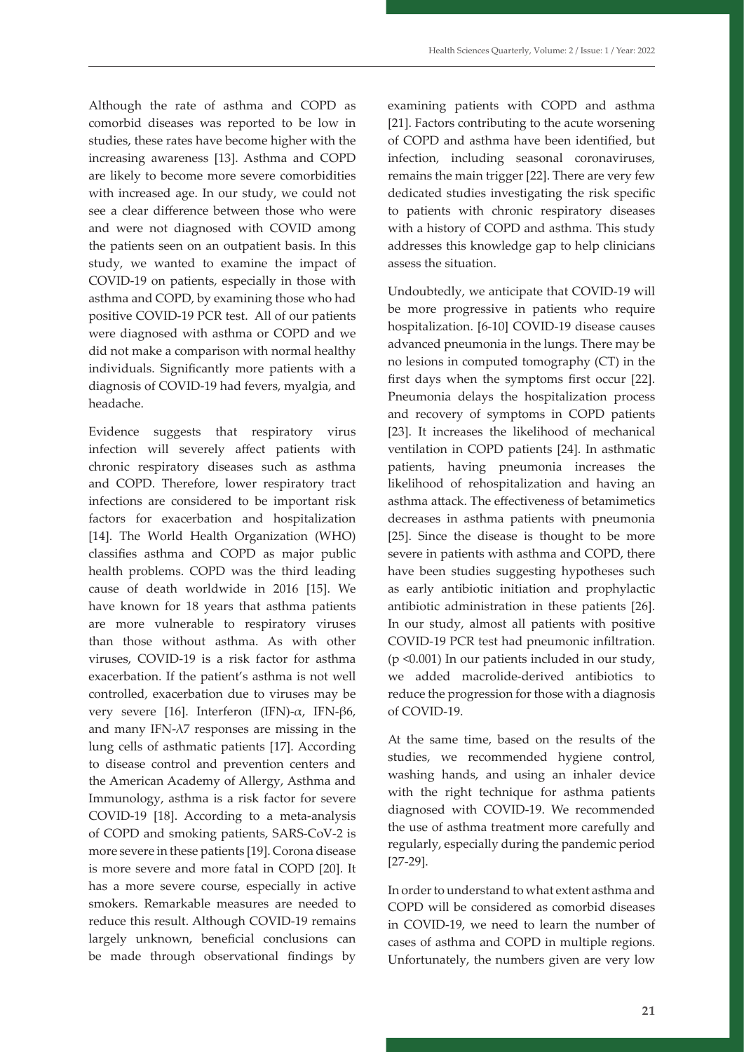Although the rate of asthma and COPD as comorbid diseases was reported to be low in studies, these rates have become higher with the increasing awareness [13]. Asthma and COPD are likely to become more severe comorbidities with increased age. In our study, we could not see a clear difference between those who were and were not diagnosed with COVID among the patients seen on an outpatient basis. In this study, we wanted to examine the impact of COVID-19 on patients, especially in those with asthma and COPD, by examining those who had positive COVID-19 PCR test. All of our patients were diagnosed with asthma or COPD and we did not make a comparison with normal healthy individuals. Significantly more patients with a diagnosis of COVID-19 had fevers, myalgia, and headache.

Evidence suggests that respiratory virus infection will severely affect patients with chronic respiratory diseases such as asthma and COPD. Therefore, lower respiratory tract infections are considered to be important risk factors for exacerbation and hospitalization [14]. The World Health Organization (WHO) classifies asthma and COPD as major public health problems. COPD was the third leading cause of death worldwide in 2016 [15]. We have known for 18 years that asthma patients are more vulnerable to respiratory viruses than those without asthma. As with other viruses, COVID-19 is a risk factor for asthma exacerbation. If the patient's asthma is not well controlled, exacerbation due to viruses may be very severe [16]. Interferon (IFN)-α, IFN-β6, and many IFN- $\lambda$ 7 responses are missing in the lung cells of asthmatic patients [17]. According to disease control and prevention centers and the American Academy of Allergy, Asthma and Immunology, asthma is a risk factor for severe COVID-19 [18]. According to a meta-analysis of COPD and smoking patients, SARS-CoV-2 is more severe in these patients [19]. Corona disease is more severe and more fatal in COPD [20]. It has a more severe course, especially in active smokers. Remarkable measures are needed to reduce this result. Although COVID-19 remains largely unknown, beneficial conclusions can be made through observational findings by

examining patients with COPD and asthma [21]. Factors contributing to the acute worsening of COPD and asthma have been identified, but infection, including seasonal coronaviruses, remains the main trigger [22]. There are very few dedicated studies investigating the risk specific to patients with chronic respiratory diseases with a history of COPD and asthma. This study addresses this knowledge gap to help clinicians assess the situation.

Undoubtedly, we anticipate that COVID-19 will be more progressive in patients who require hospitalization. [6-10] COVID-19 disease causes advanced pneumonia in the lungs. There may be no lesions in computed tomography (CT) in the first days when the symptoms first occur [22]. Pneumonia delays the hospitalization process and recovery of symptoms in COPD patients [23]. It increases the likelihood of mechanical ventilation in COPD patients [24]. In asthmatic patients, having pneumonia increases the likelihood of rehospitalization and having an asthma attack. The effectiveness of betamimetics decreases in asthma patients with pneumonia [25]. Since the disease is thought to be more severe in patients with asthma and COPD, there have been studies suggesting hypotheses such as early antibiotic initiation and prophylactic antibiotic administration in these patients [26]. In our study, almost all patients with positive COVID-19 PCR test had pneumonic infiltration. (p <0.001) In our patients included in our study, we added macrolide-derived antibiotics to reduce the progression for those with a diagnosis of COVID-19.

At the same time, based on the results of the studies, we recommended hygiene control, washing hands, and using an inhaler device with the right technique for asthma patients diagnosed with COVID-19. We recommended the use of asthma treatment more carefully and regularly, especially during the pandemic period [27-29].

In order to understand to what extent asthma and COPD will be considered as comorbid diseases in COVID-19, we need to learn the number of cases of asthma and COPD in multiple regions. Unfortunately, the numbers given are very low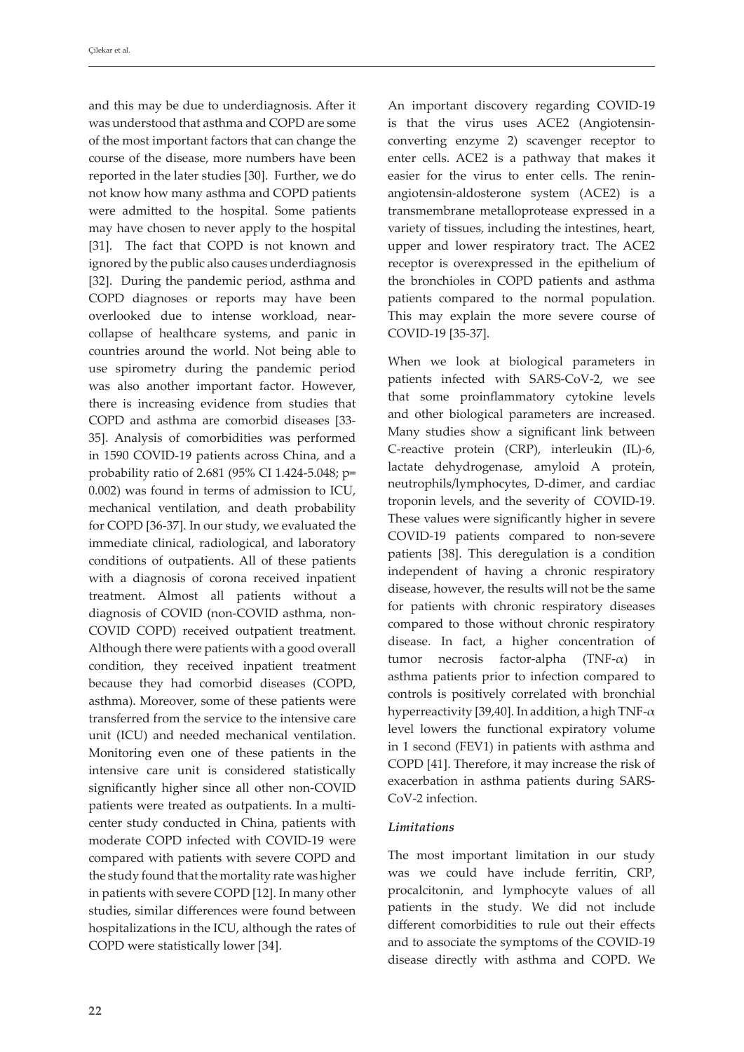and this may be due to underdiagnosis. After it was understood that asthma and COPD are some of the most important factors that can change the course of the disease, more numbers have been reported in the later studies [30]. Further, we do not know how many asthma and COPD patients were admitted to the hospital. Some patients may have chosen to never apply to the hospital [31]. The fact that COPD is not known and ignored by the public also causes underdiagnosis [32]. During the pandemic period, asthma and COPD diagnoses or reports may have been overlooked due to intense workload, nearcollapse of healthcare systems, and panic in countries around the world. Not being able to use spirometry during the pandemic period was also another important factor. However, there is increasing evidence from studies that COPD and asthma are comorbid diseases [33- 35]. Analysis of comorbidities was performed in 1590 COVID-19 patients across China, and a probability ratio of 2.681 (95% CI 1.424-5.048; p= 0.002) was found in terms of admission to ICU, mechanical ventilation, and death probability for COPD [36-37]. In our study, we evaluated the immediate clinical, radiological, and laboratory conditions of outpatients. All of these patients with a diagnosis of corona received inpatient treatment. Almost all patients without a diagnosis of COVID (non-COVID asthma, non-COVID COPD) received outpatient treatment. Although there were patients with a good overall condition, they received inpatient treatment because they had comorbid diseases (COPD, asthma). Moreover, some of these patients were transferred from the service to the intensive care unit (ICU) and needed mechanical ventilation. Monitoring even one of these patients in the intensive care unit is considered statistically significantly higher since all other non-COVID patients were treated as outpatients. In a multicenter study conducted in China, patients with moderate COPD infected with COVID-19 were compared with patients with severe COPD and the study found that the mortality rate was higher in patients with severe COPD [12]. In many other studies, similar differences were found between hospitalizations in the ICU, although the rates of COPD were statistically lower [34].

An important discovery regarding COVID-19 is that the virus uses ACE2 (Angiotensinconverting enzyme 2) scavenger receptor to enter cells. ACE2 is a pathway that makes it easier for the virus to enter cells. The reninangiotensin-aldosterone system (ACE2) is a transmembrane metalloprotease expressed in a variety of tissues, including the intestines, heart, upper and lower respiratory tract. The ACE2 receptor is overexpressed in the epithelium of the bronchioles in COPD patients and asthma patients compared to the normal population. This may explain the more severe course of COVID-19 [35-37].

When we look at biological parameters in patients infected with SARS-CoV-2, we see that some proinflammatory cytokine levels and other biological parameters are increased. Many studies show a significant link between C-reactive protein (CRP), interleukin (IL)-6, lactate dehydrogenase, amyloid A protein, neutrophils/lymphocytes, D-dimer, and cardiac troponin levels, and the severity of COVID-19. These values were significantly higher in severe COVID-19 patients compared to non-severe patients [38]. This deregulation is a condition independent of having a chronic respiratory disease, however, the results will not be the same for patients with chronic respiratory diseases compared to those without chronic respiratory disease. In fact, a higher concentration of tumor necrosis factor-alpha (TNF-α) in asthma patients prior to infection compared to controls is positively correlated with bronchial hyperreactivity [39,40]. In addition, a high TNF- $\alpha$ level lowers the functional expiratory volume in 1 second (FEV1) in patients with asthma and COPD [41]. Therefore, it may increase the risk of exacerbation in asthma patients during SARS-CoV-2 infection.

#### *Limitations*

The most important limitation in our study was we could have include ferritin, CRP, procalcitonin, and lymphocyte values of all patients in the study. We did not include different comorbidities to rule out their effects and to associate the symptoms of the COVID-19 disease directly with asthma and COPD. We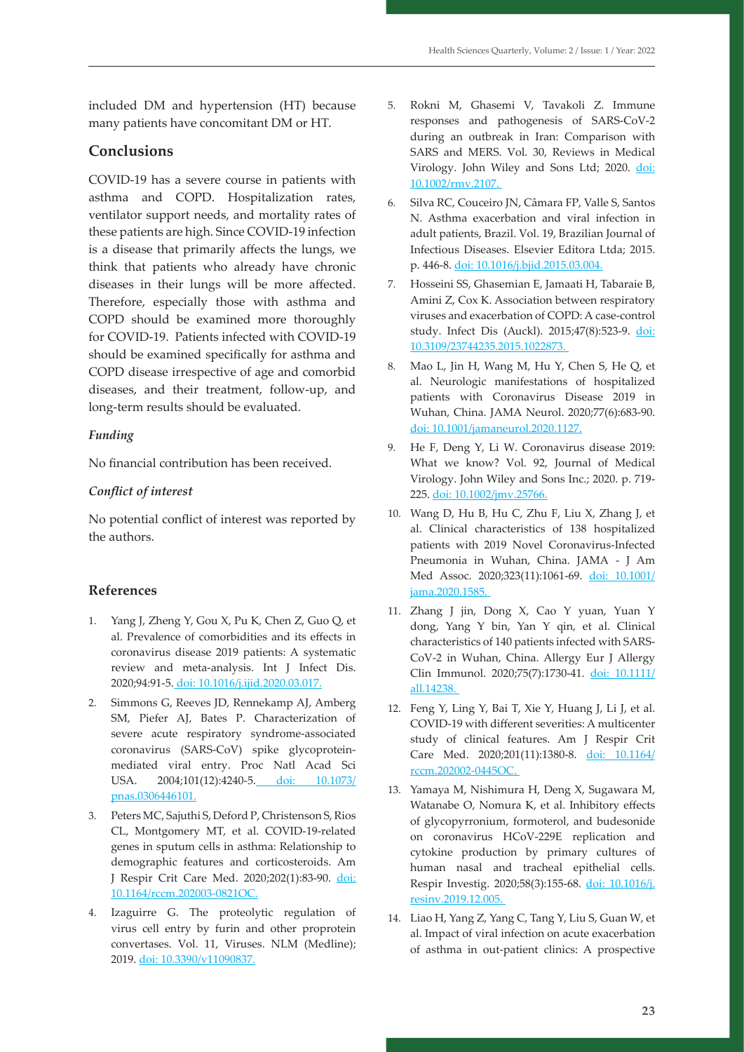included DM and hypertension (HT) because many patients have concomitant DM or HT.

## **Conclusions**

COVID-19 has a severe course in patients with asthma and COPD. Hospitalization rates, ventilator support needs, and mortality rates of these patients are high. Since COVID-19 infection is a disease that primarily affects the lungs, we think that patients who already have chronic diseases in their lungs will be more affected. Therefore, especially those with asthma and COPD should be examined more thoroughly for COVID-19. Patients infected with COVID-19 should be examined specifically for asthma and COPD disease irrespective of age and comorbid diseases, and their treatment, follow-up, and long-term results should be evaluated.

#### *Funding*

No financial contribution has been received.

#### *Conflict of interest*

No potential conflict of interest was reported by the authors.

#### **References**

- 1. Yang J, Zheng Y, Gou X, Pu K, Chen Z, Guo Q, et al. Prevalence of comorbidities and its effects in coronavirus disease 2019 patients: A systematic review and meta-analysis. Int J Infect Dis. 2020;94:91-5. [doi: 10.1016/j.ijid.2020.03.017](https://doi.org/10.1016/j.ijid.2020.03.017).
- 2. Simmons G, Reeves JD, Rennekamp AJ, Amberg SM, Piefer AJ, Bates P. Characterization of severe acute respiratory syndrome-associated coronavirus (SARS-CoV) spike glycoproteinmediated viral entry. Proc Natl Acad Sci USA. 2004;101(12):4240-5. doi: 10.1073/ pnas.0306446101.
- 3. Peters MC, Sajuthi S, Deford P, Christenson S, Rios CL, Montgomery MT, et al. COVID-19-related genes in sputum cells in asthma: Relationship to demographic features and corticosteroids. Am J Respir Crit Care Med. 2020;202(1):83-90. doi: 10.1164/rccm.202003-0821OC.
- 4. Izaguirre G. The proteolytic regulation of virus cell entry by furin and other proprotein convertases. Vol. 11, Viruses. NLM (Medline); 2019. doi: 10.3390/v11090837.
- 5. Rokni M, Ghasemi V, Tavakoli Z. Immune responses and pathogenesis of SARS-CoV-2 during an outbreak in Iran: Comparison with SARS and MERS. Vol. 30, Reviews in Medical Virology. John Wiley and Sons Ltd; 2020. doi: 10.1002/rmv.2107.
- 6. Silva RC, Couceiro JN, Câmara FP, Valle S, Santos N. Asthma exacerbation and viral infection in adult patients, Brazil. Vol. 19, Brazilian Journal of Infectious Diseases. Elsevier Editora Ltda; 2015. p. 446-8. doi: 10.1016/j.bjid.2015.03.004.
- 7. Hosseini SS, Ghasemian E, Jamaati H, Tabaraie B, Amini Z, Cox K. Association between respiratory viruses and exacerbation of COPD: A case-control study. Infect Dis (Auckl). 2015;47(8):523-9. doi: 10.3109/23744235.2015.1022873.
- 8. Mao L, Jin H, Wang M, Hu Y, Chen S, He Q, et al. Neurologic manifestations of hospitalized patients with Coronavirus Disease 2019 in Wuhan, China. JAMA Neurol. 2020;77(6):683-90. doi: 10.1001/jamaneurol.2020.1127.
- 9. He F, Deng Y, Li W. Coronavirus disease 2019: What we know? Vol. 92, Journal of Medical Virology. John Wiley and Sons Inc.; 2020. p. 719- 225. doi: 10.1002/jmv.25766.
- 10. Wang D, Hu B, Hu C, Zhu F, Liu X, Zhang J, et al. Clinical characteristics of 138 hospitalized patients with 2019 Novel Coronavirus-Infected Pneumonia in Wuhan, China. JAMA - J Am Med Assoc. 2020;323(11):1061-69. doi: 10.1001/ jama.2020.1585.
- 11. Zhang J jin, Dong X, Cao Y yuan, Yuan Y dong, Yang Y bin, Yan Y qin, et al. Clinical characteristics of 140 patients infected with SARS-CoV-2 in Wuhan, China. Allergy Eur J Allergy Clin Immunol. 2020;75(7):1730-41. doi: 10.1111/ all.14238.
- 12. Feng Y, Ling Y, Bai T, Xie Y, Huang J, Li J, et al. COVID-19 with different severities: A multicenter study of clinical features. Am J Respir Crit Care Med. 2020;201(11):1380-8. doi: 10.1164/ rccm.202002-0445OC.
- 13. Yamaya M, Nishimura H, Deng X, Sugawara M, Watanabe O, Nomura K, et al. Inhibitory effects of glycopyrronium, formoterol, and budesonide on coronavirus HCoV-229E replication and cytokine production by primary cultures of human nasal and tracheal epithelial cells. Respir Investig. 2020;58(3):155-68. doi: 10.1016/j. resinv.2019.12.005.
- 14. Liao H, Yang Z, Yang C, Tang Y, Liu S, Guan W, et al. Impact of viral infection on acute exacerbation of asthma in out-patient clinics: A prospective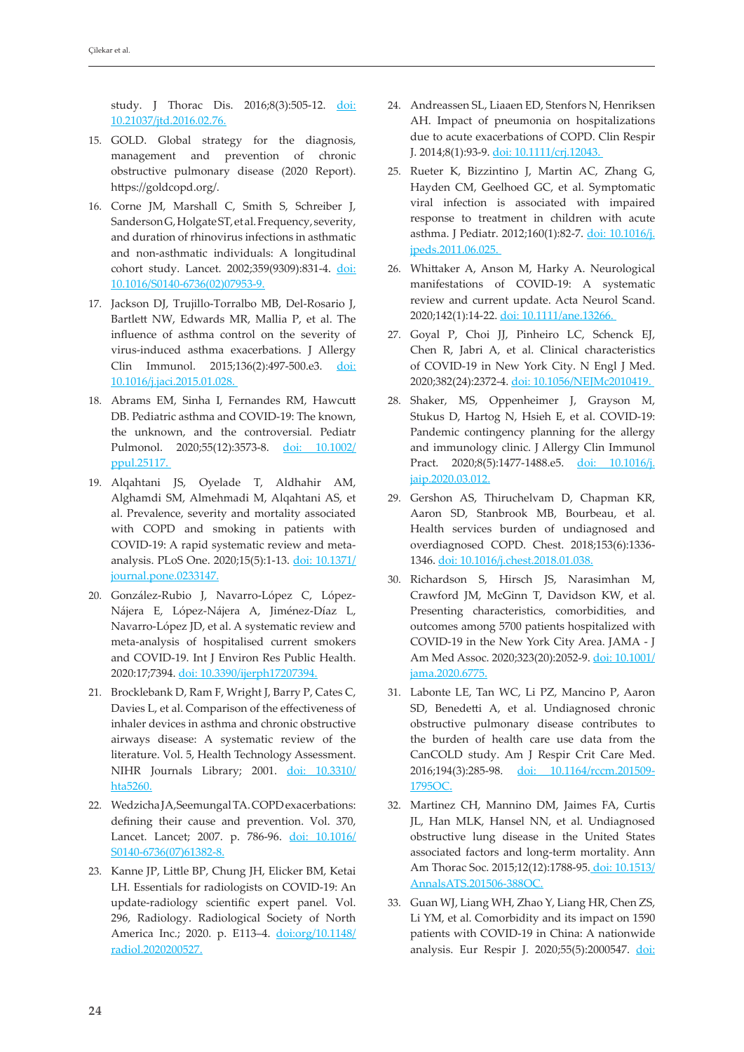study. J Thorac Dis. 2016;8(3):505-12. doi: 10.21037/jtd.2016.02.76.

- 15. GOLD. Global strategy for the diagnosis, management and prevention of chronic obstructive pulmonary disease (2020 Report). https://goldcopd.org/.
- 16. Corne JM, Marshall C, Smith S, Schreiber J, Sanderson G, Holgate ST, et al. Frequency, severity, and duration of rhinovirus infections in asthmatic and non-asthmatic individuals: A longitudinal cohort study. Lancet. 2002;359(9309):831-4. doi: 10.1016/S0140-6736(02)07953-9.
- 17. Jackson DJ, Trujillo-Torralbo MB, Del-Rosario J, Bartlett NW, Edwards MR, Mallia P, et al. The influence of asthma control on the severity of virus-induced asthma exacerbations. J Allergy Clin Immunol. 2015;136(2):497-500.e3. doi: 10.1016/j.jaci.2015.01.028.
- 18. Abrams EM, Sinha I, Fernandes RM, Hawcutt DB. Pediatric asthma and COVID-19: The known, the unknown, and the controversial. Pediatr Pulmonol. 2020;55(12):3573-8. doi: 10.1002/ ppul.25117.
- 19. Alqahtani JS, Oyelade T, Aldhahir AM, Alghamdi SM, Almehmadi M, Alqahtani AS, et al. Prevalence, severity and mortality associated with COPD and smoking in patients with COVID-19: A rapid systematic review and metaanalysis. PLoS One. 2020;15(5):1-13. doi: 10.1371/ journal.pone.0233147.
- 20. González-Rubio J, Navarro-López C, López-Nájera E, López-Nájera A, Jiménez-Díaz L, Navarro-López JD, et al. A systematic review and meta-analysis of hospitalised current smokers and COVID-19. Int J Environ Res Public Health. 2020:17;7394. doi: 10.3390/ijerph17207394.
- 21. Brocklebank D, Ram F, Wright J, Barry P, Cates C, Davies L, et al. Comparison of the effectiveness of inhaler devices in asthma and chronic obstructive airways disease: A systematic review of the literature. Vol. 5, Health Technology Assessment. NIHR Journals Library; 2001. doi: 10.3310/ hta5260.
- 22. Wedzicha JA,Seemungal TA. COPD exacerbations: defining their cause and prevention. Vol. 370, Lancet. Lancet; 2007. p. 786-96. doi: 10.1016/ S0140-6736(07)61382-8.
- 23. Kanne JP, Little BP, Chung JH, Elicker BM, Ketai LH. Essentials for radiologists on COVID-19: An update-radiology scientific expert panel. Vol. 296, Radiology. Radiological Society of North America Inc.; 2020. p. E113–4. doi:org/10.1148/ radiol.2020200527.
- 24. Andreassen SL, Liaaen ED, Stenfors N, Henriksen AH. Impact of pneumonia on hospitalizations due to acute exacerbations of COPD. Clin Respir J. 2014;8(1):93-9. doi: 10.1111/crj.12043.
- 25. Rueter K, Bizzintino J, Martin AC, Zhang G, Hayden CM, Geelhoed GC, et al. Symptomatic viral infection is associated with impaired response to treatment in children with acute asthma. J Pediatr. 2012;160(1):82-7. doi: 10.1016/j. jpeds.2011.06.025.
- 26. Whittaker A, Anson M, Harky A. Neurological manifestations of COVID-19: A systematic review and current update. Acta Neurol Scand. 2020;142(1):14-22. doi: 10.1111/ane.13266.
- 27. Goyal P, Choi JJ, Pinheiro LC, Schenck EJ, Chen R, Jabri A, et al. Clinical characteristics of COVID-19 in New York City. N Engl J Med. 2020;382(24):2372-4. doi: 10.1056/NEJMc2010419.
- 28. Shaker, MS, Oppenheimer J, Grayson M, Stukus D, Hartog N, Hsieh E, et al. COVID-19: Pandemic contingency planning for the allergy and immunology clinic. J Allergy Clin Immunol Pract. 2020;8(5):1477-1488.e5. doi: 10.1016/j. jaip.2020.03.012.
- 29. Gershon AS, Thiruchelvam D, Chapman KR, Aaron SD, Stanbrook MB, Bourbeau, et al. Health services burden of undiagnosed and overdiagnosed COPD. Chest. 2018;153(6):1336- 1346. doi: 10.1016/j.chest.2018.01.038.
- 30. Richardson S, Hirsch JS, Narasimhan M, Crawford JM, McGinn T, Davidson KW, et al. Presenting characteristics, comorbidities, and outcomes among 5700 patients hospitalized with COVID-19 in the New York City Area. JAMA - J Am Med Assoc. 2020;323(20):2052-9. doi: 10.1001/ jama.2020.6775.
- 31. Labonte LE, Tan WC, Li PZ, Mancino P, Aaron SD, Benedetti A, et al. Undiagnosed chronic obstructive pulmonary disease contributes to the burden of health care use data from the CanCOLD study. Am J Respir Crit Care Med. 2016;194(3):285-98. doi: 10.1164/rccm.201509-1795OC.
- 32. Martinez CH, Mannino DM, Jaimes FA, Curtis JL, Han MLK, Hansel NN, et al. Undiagnosed obstructive lung disease in the United States associated factors and long-term mortality. Ann Am Thorac Soc. 2015;12(12):1788-95. doi: 10.1513/ AnnalsATS.201506-388OC.
- 33. Guan WJ, Liang WH, Zhao Y, Liang HR, Chen ZS, Li YM, et al. Comorbidity and its impact on 1590 patients with COVID-19 in China: A nationwide analysis. Eur Respir J. 2020;55(5):2000547. doi: